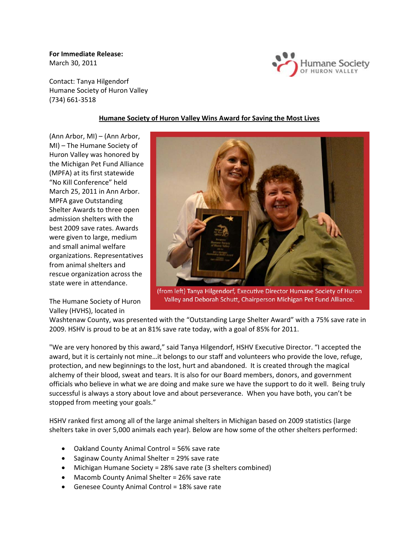**For Immediate Release:** March 30, 2011



Contact: Tanya Hilgendorf Humane Society of Huron Valley (734) 661‐3518

## **Humane Society of Huron Valley Wins Award for Saving the Most Lives**

(Ann Arbor, MI) – (Ann Arbor, MI) – The Humane Society of Huron Valley was honored by the Michigan Pet Fund Alliance (MPFA) at its first statewide "No Kill Conference" held March 25, 2011 in Ann Arbor. MPFA gave Outstanding Shelter Awards to three open admission shelters with the best 2009 save rates. Awards were given to large, medium and small animal welfare organizations. Representatives from animal shelters and rescue organization across the state were in attendance.

The Humane Society of Huron Valley (HVHS), located in



(from left) Tanya Hilgendorf, Executive Director Humane Society of Huron Valley and Deborah Schutt, Chairperson Michigan Pet Fund Alliance.

Washtenaw County, was presented with the "Outstanding Large Shelter Award" with a 75% save rate in 2009. HSHV is proud to be at an 81% save rate today, with a goal of 85% for 2011.

"We are very honored by this award," said Tanya Hilgendorf, HSHV Executive Director. "I accepted the award, but it is certainly not mine…it belongs to our staff and volunteers who provide the love, refuge, protection, and new beginnings to the lost, hurt and abandoned. It is created through the magical alchemy of their blood, sweat and tears. It is also for our Board members, donors, and government officials who believe in what we are doing and make sure we have the support to do it well. Being truly successful is always a story about love and about perseverance. When you have both, you can't be stopped from meeting your goals."

HSHV ranked first among all of the large animal shelters in Michigan based on 2009 statistics (large shelters take in over 5,000 animals each year). Below are how some of the other shelters performed:

- Oakland County Animal Control = 56% save rate
- Saginaw County Animal Shelter = 29% save rate
- Michigan Humane Society = 28% save rate (3 shelters combined)
- Macomb County Animal Shelter = 26% save rate
- Genesee County Animal Control = 18% save rate